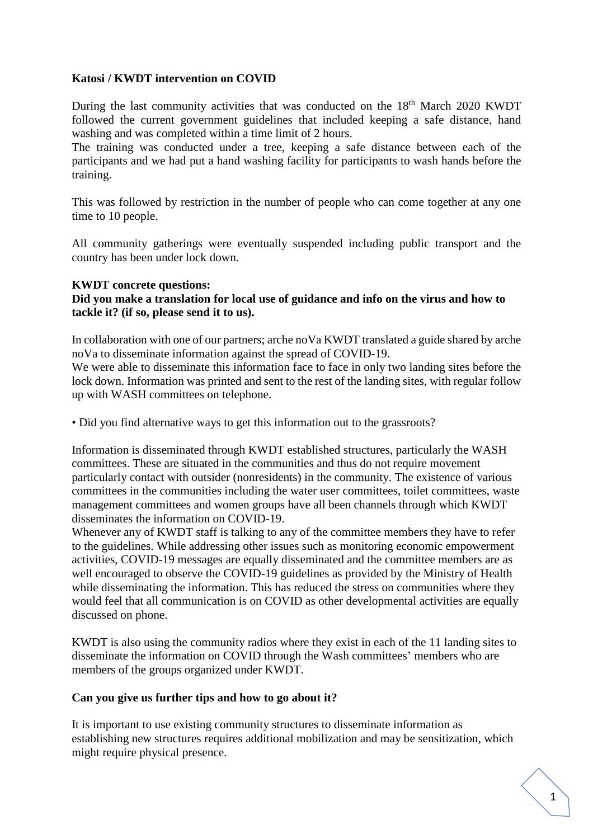# **Katosi / KWDT intervention on COVID**

During the last community activities that was conducted on the 18<sup>th</sup> March 2020 KWDT followed the current government guidelines that included keeping a safe distance, hand washing and was completed within a time limit of 2 hours.

The training was conducted under a tree, keeping a safe distance between each of the participants and we had put a hand washing facility for participants to wash hands before the training.

This was followed by restriction in the number of people who can come together at any one time to 10 people.

All community gatherings were eventually suspended including public transport and the country has been under lock down.

#### **KWDT concrete questions:**

### **Did you make a translation for local use of guidance and info on the virus and how to tackle it? (if so, please send it to us).**

In collaboration with one of our partners; arche noVa KWDT translated a guide shared by arche noVa to disseminate information against the spread of COVID-19.

We were able to disseminate this information face to face in only two landing sites before the lock down. Information was printed and sent to the rest of the landing sites, with regular follow up with WASH committees on telephone.

• Did you find alternative ways to get this information out to the grassroots?

Information is disseminated through KWDT established structures, particularly the WASH committees. These are situated in the communities and thus do not require movement particularly contact with outsider (nonresidents) in the community. The existence of various committees in the communities including the water user committees, toilet committees, waste management committees and women groups have all been channels through which KWDT disseminates the information on COVID-19.

Whenever any of KWDT staff is talking to any of the committee members they have to refer to the guidelines. While addressing other issues such as monitoring economic empowerment activities, COVID-19 messages are equally disseminated and the committee members are as well encouraged to observe the COVID-19 guidelines as provided by the Ministry of Health while disseminating the information. This has reduced the stress on communities where they would feel that all communication is on COVID as other developmental activities are equally discussed on phone.

KWDT is also using the community radios where they exist in each of the 11 landing sites to disseminate the information on COVID through the Wash committees' members who are members of the groups organized under KWDT.

#### **Can you give us further tips and how to go about it?**

It is important to use existing community structures to disseminate information as establishing new structures requires additional mobilization and may be sensitization, which might require physical presence.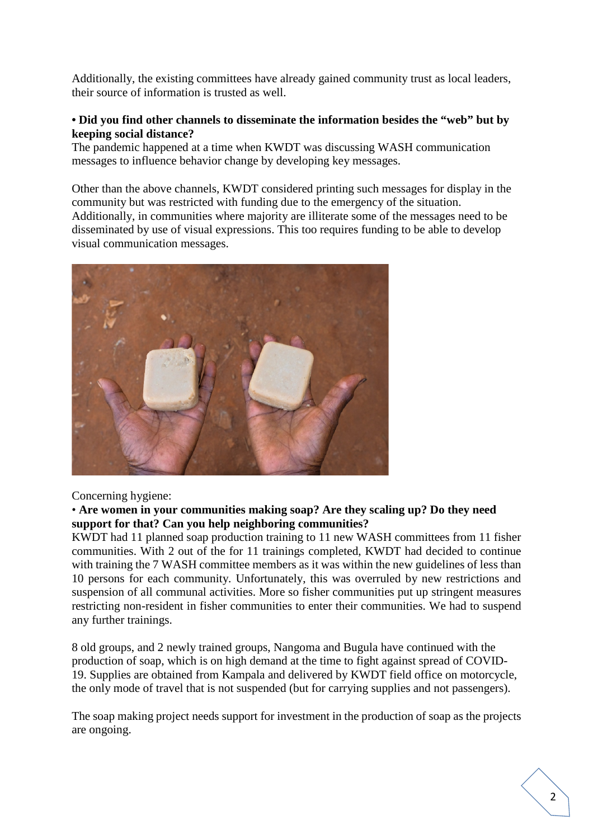Additionally, the existing committees have already gained community trust as local leaders, their source of information is trusted as well.

### **• Did you find other channels to disseminate the information besides the "web" but by keeping social distance?**

The pandemic happened at a time when KWDT was discussing WASH communication messages to influence behavior change by developing key messages.

Other than the above channels, KWDT considered printing such messages for display in the community but was restricted with funding due to the emergency of the situation. Additionally, in communities where majority are illiterate some of the messages need to be disseminated by use of visual expressions. This too requires funding to be able to develop visual communication messages.



Concerning hygiene:

### • **Are women in your communities making soap? Are they scaling up? Do they need support for that? Can you help neighboring communities?**

KWDT had 11 planned soap production training to 11 new WASH committees from 11 fisher communities. With 2 out of the for 11 trainings completed, KWDT had decided to continue with training the 7 WASH committee members as it was within the new guidelines of less than 10 persons for each community. Unfortunately, this was overruled by new restrictions and suspension of all communal activities. More so fisher communities put up stringent measures restricting non-resident in fisher communities to enter their communities. We had to suspend any further trainings.

8 old groups, and 2 newly trained groups, Nangoma and Bugula have continued with the production of soap, which is on high demand at the time to fight against spread of COVID-19. Supplies are obtained from Kampala and delivered by KWDT field office on motorcycle, the only mode of travel that is not suspended (but for carrying supplies and not passengers).

The soap making project needs support for investment in the production of soap as the projects are ongoing.